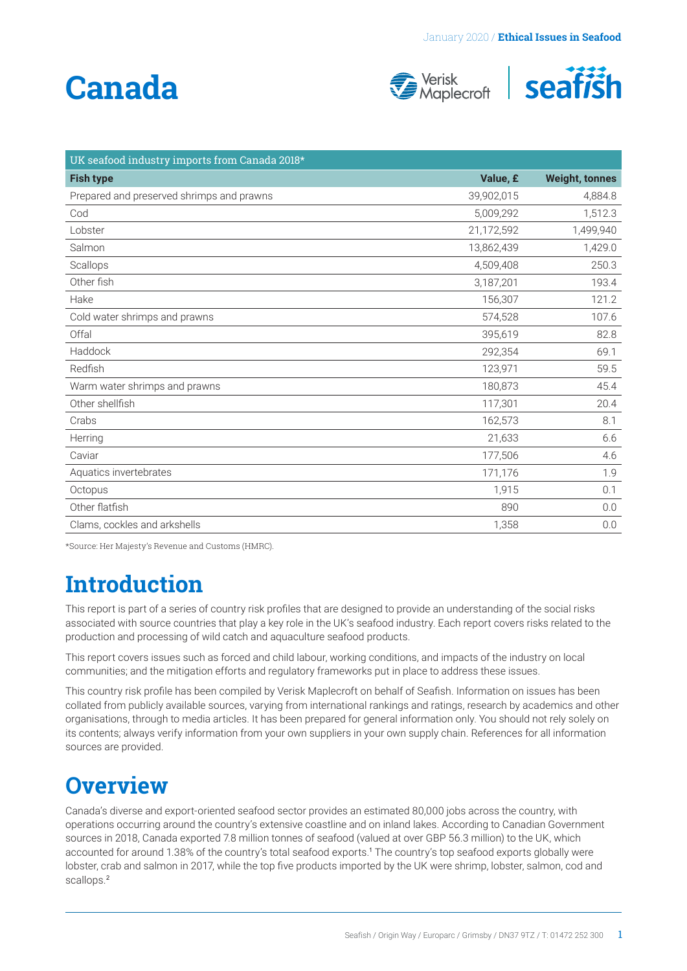# <span id="page-0-0"></span>**Canada**





| UK seafood industry imports from Canada 2018* |            |                       |
|-----------------------------------------------|------------|-----------------------|
| <b>Fish type</b>                              | Value, £   | <b>Weight, tonnes</b> |
| Prepared and preserved shrimps and prawns     | 39,902,015 | 4,884.8               |
| Cod                                           | 5,009,292  | 1,512.3               |
| Lobster                                       | 21,172,592 | 1,499,940             |
| Salmon                                        | 13,862,439 | 1,429.0               |
| Scallops                                      | 4,509,408  | 250.3                 |
| Other fish                                    | 3,187,201  | 193.4                 |
| Hake                                          | 156,307    | 121.2                 |
| Cold water shrimps and prawns                 | 574,528    | 107.6                 |
| Offal                                         | 395,619    | 82.8                  |
| Haddock                                       | 292,354    | 69.1                  |
| Redfish                                       | 123,971    | 59.5                  |
| Warm water shrimps and prawns                 | 180,873    | 45.4                  |
| Other shellfish                               | 117,301    | 20.4                  |
| Crabs                                         | 162,573    | 8.1                   |
| Herring                                       | 21,633     | 6.6                   |
| Caviar                                        | 177,506    | 4.6                   |
| Aquatics invertebrates                        | 171,176    | 1.9                   |
| Octopus                                       | 1,915      | 0.1                   |
| Other flatfish                                | 890        | 0.0                   |
| Clams, cockles and arkshells                  | 1,358      | 0.0                   |

\*Source: Her Majesty's Revenue and Customs (HMRC).

## **Introduction**

This report is part of a series of country risk profiles that are designed to provide an understanding of the social risks associated with source countries that play a key role in the UK's seafood industry. Each report covers risks related to the production and processing of wild catch and aquaculture seafood products.

This report covers issues such as forced and child labour, working conditions, and impacts of the industry on local communities; and the mitigation efforts and regulatory frameworks put in place to address these issues.

This country risk profile has been compiled by Verisk Maplecroft on behalf of Seafish. Information on issues has been collated from publicly available sources, varying from international rankings and ratings, research by academics and other organisations, through to media articles. It has been prepared for general information only. You should not rely solely on its contents; always verify information from your own suppliers in your own supply chain. References for all information sources are provided.

### **Overview**

Canada's diverse and export-oriented seafood sector provides an estimated 80,000 jobs across the country, with operations occurring around the country's extensive coastline and on inland lakes. According to Canadian Government sources in 2018, Canada exported 7.8 million tonnes of seafood (valued at over GBP 56.3 million) to the UK, which accounted for around 1.38% of the country's total seafood exports.[1](#page-4-0) The country's top seafood exports globally were lobster, crab and salmon in 2017, while the top five products imported by the UK were shrimp, lobster, salmon, cod and scallops.<sup>[2](#page-4-0)</sup>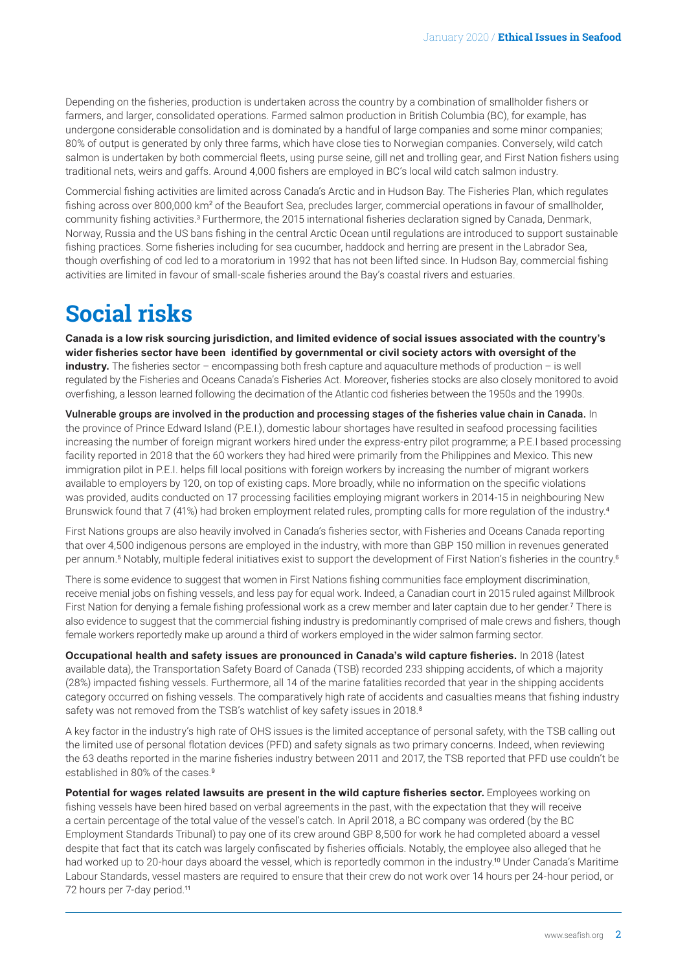<span id="page-1-0"></span>Depending on the fisheries, production is undertaken across the country by a combination of smallholder fishers or farmers, and larger, consolidated operations. Farmed salmon production in British Columbia (BC), for example, has undergone considerable consolidation and is dominated by a handful of large companies and some minor companies; 80% of output is generated by only three farms, which have close ties to Norwegian companies. Conversely, wild catch salmon is undertaken by both commercial fleets, using purse seine, gill net and trolling gear, and First Nation fishers using traditional nets, weirs and gaffs. Around 4,000 fishers are employed in BC's local wild catch salmon industry.

Commercial fishing activities are limited across Canada's Arctic and in Hudson Bay. The Fisheries Plan, which regulates fishing across over 800,000 km² of the Beaufort Sea, precludes larger, commercial operations in favour of smallholder, community fishing activities.<sup>[3](#page-4-0)</sup> Furthermore, the 2015 international fisheries declaration signed by Canada, Denmark, Norway, Russia and the US bans fishing in the central Arctic Ocean until regulations are introduced to support sustainable fishing practices. Some fisheries including for sea cucumber, haddock and herring are present in the Labrador Sea, though overfishing of cod led to a moratorium in 1992 that has not been lifted since. In Hudson Bay, commercial fishing activities are limited in favour of small-scale fisheries around the Bay's coastal rivers and estuaries.

### **Social risks**

**Canada is a low risk sourcing jurisdiction, and limited evidence of social issues associated with the country's wider fisheries sector have been identified by governmental or civil society actors with oversight of the industry.** The fisheries sector – encompassing both fresh capture and aquaculture methods of production – is well regulated by the Fisheries and Oceans Canada's Fisheries Act. Moreover, fisheries stocks are also closely monitored to avoid overfishing, a lesson learned following the decimation of the Atlantic cod fisheries between the 1950s and the 1990s.

Vulnerable groups are involved in the production and processing stages of the fisheries value chain in Canada. In the province of Prince Edward Island (P.E.I.), domestic labour shortages have resulted in seafood processing facilities increasing the number of foreign migrant workers hired under the express-entry pilot programme; a P.E.I based processing facility reported in 2018 that the 60 workers they had hired were primarily from the Philippines and Mexico. This new immigration pilot in P.E.I. helps fill local positions with foreign workers by increasing the number of migrant workers available to employers by 120, on top of existing caps. More broadly, while no information on the specific violations was provided, audits conducted on 17 processing facilities employing migrant workers in 2014-15 in neighbouring New Brunswick found that 7 (41%) had broken employment related rules, prompting calls for more regulation of the industry.[4](#page-4-0)

First Nations groups are also heavily involved in Canada's fisheries sector, with Fisheries and Oceans Canada reporting that over 4,500 indigenous persons are employed in the industry, with more than GBP 150 million in revenues generated per annum.<sup>[5](#page-4-0)</sup> Notably, multiple federal initiatives exist to support the development of First Nation's fisheries in the country.<sup>[6](#page-4-0)</sup>

There is some evidence to suggest that women in First Nations fishing communities face employment discrimination, receive menial jobs on fishing vessels, and less pay for equal work. Indeed, a Canadian court in 2015 ruled against Millbrook First Nation for denying a female fishing professional work as a crew member and later captain due to her gender.[7](#page-4-0) There is also evidence to suggest that the commercial fishing industry is predominantly comprised of male crews and fishers, though female workers reportedly make up around a third of workers employed in the wider salmon farming sector.

**Occupational health and safety issues are pronounced in Canada's wild capture fisheries.** In 2018 (latest available data), the Transportation Safety Board of Canada (TSB) recorded 233 shipping accidents, of which a majority (28%) impacted fishing vessels. Furthermore, all 14 of the marine fatalities recorded that year in the shipping accidents category occurred on fishing vessels. The comparatively high rate of accidents and casualties means that fishing industry safety was not removed from the TSB's watchlist of key safety issues in 201[8](#page-4-0).<sup>8</sup>

A key factor in the industry's high rate of OHS issues is the limited acceptance of personal safety, with the TSB calling out the limited use of personal flotation devices (PFD) and safety signals as two primary concerns. Indeed, when reviewing the 63 deaths reported in the marine fisheries industry between 2011 and 2017, the TSB reported that PFD use couldn't be established in 80% of the cases.<sup>[9](#page-4-0)</sup>

**Potential for wages related lawsuits are present in the wild capture fisheries sector.** Employees working on fishing vessels have been hired based on verbal agreements in the past, with the expectation that they will receive a certain percentage of the total value of the vessel's catch. In April 2018, a BC company was ordered (by the BC Employment Standards Tribunal) to pay one of its crew around GBP 8,500 for work he had completed aboard a vessel despite that fact that its catch was largely confiscated by fisheries officials. Notably, the employee also alleged that he had worked up to 20-hour days aboard the vessel, which is reportedly common in the industry.<sup>[10](#page-4-0)</sup> Under Canada's Maritime Labour Standards, vessel masters are required to ensure that their crew do not work over 14 hours per 24-hour period, or 72 hours per 7-day period.[11](#page-4-0)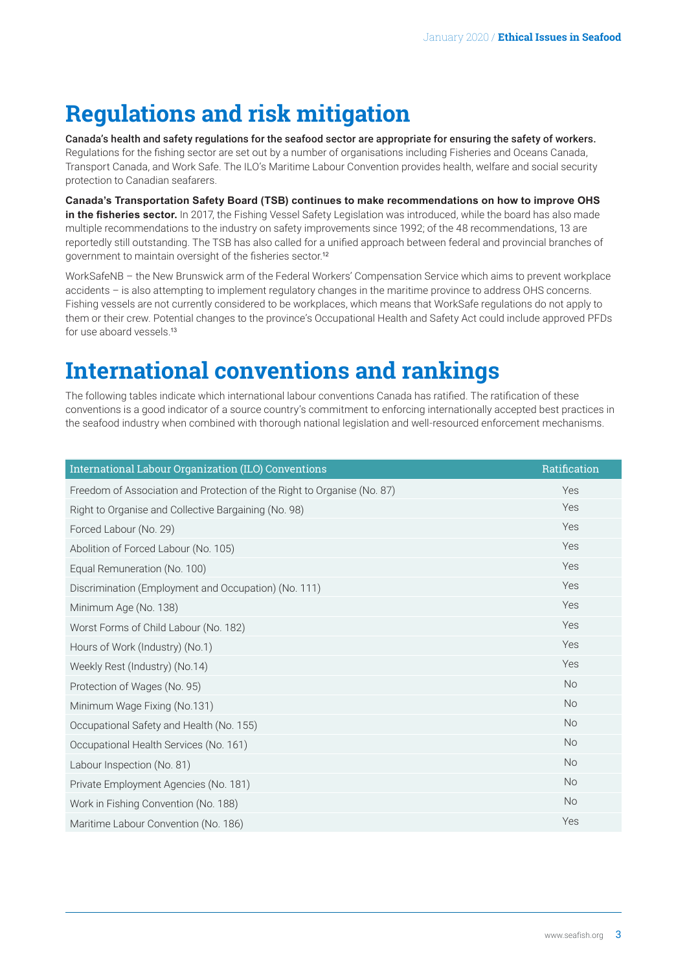### <span id="page-2-0"></span>**Regulations and risk mitigation**

Canada's health and safety regulations for the seafood sector are appropriate for ensuring the safety of workers. Regulations for the fishing sector are set out by a number of organisations including Fisheries and Oceans Canada, Transport Canada, and Work Safe. The ILO's Maritime Labour Convention provides health, welfare and social security protection to Canadian seafarers.

**Canada's Transportation Safety Board (TSB) continues to make recommendations on how to improve OHS in the fisheries sector.** In 2017, the Fishing Vessel Safety Legislation was introduced, while the board has also made multiple recommendations to the industry on safety improvements since 1992; of the 48 recommendations, 13 are reportedly still outstanding. The TSB has also called for a unified approach between federal and provincial branches of government to maintain oversight of the fisheries sector.[12](#page-4-0)

WorkSafeNB – the New Brunswick arm of the Federal Workers' Compensation Service which aims to prevent workplace accidents – is also attempting to implement regulatory changes in the maritime province to address OHS concerns. Fishing vessels are not currently considered to be workplaces, which means that WorkSafe regulations do not apply to them or their crew. Potential changes to the province's Occupational Health and Safety Act could include approved PFDs for use aboard vessels.[13](#page-4-0)

### **International conventions and rankings**

The following tables indicate which international labour conventions Canada has ratified. The ratification of these conventions is a good indicator of a source country's commitment to enforcing internationally accepted best practices in the seafood industry when combined with thorough national legislation and well-resourced enforcement mechanisms.

| International Labour Organization (ILO) Conventions                     | Ratification |
|-------------------------------------------------------------------------|--------------|
| Freedom of Association and Protection of the Right to Organise (No. 87) | Yes          |
| Right to Organise and Collective Bargaining (No. 98)                    | Yes          |
| Forced Labour (No. 29)                                                  | Yes          |
| Abolition of Forced Labour (No. 105)                                    | Yes          |
| Equal Remuneration (No. 100)                                            | Yes          |
| Discrimination (Employment and Occupation) (No. 111)                    | Yes          |
| Minimum Age (No. 138)                                                   | Yes          |
| Worst Forms of Child Labour (No. 182)                                   | Yes          |
| Hours of Work (Industry) (No.1)                                         | Yes          |
| Weekly Rest (Industry) (No.14)                                          | Yes          |
| Protection of Wages (No. 95)                                            | <b>No</b>    |
| Minimum Wage Fixing (No.131)                                            | <b>No</b>    |
| Occupational Safety and Health (No. 155)                                | <b>No</b>    |
| Occupational Health Services (No. 161)                                  | <b>No</b>    |
| Labour Inspection (No. 81)                                              | <b>No</b>    |
| Private Employment Agencies (No. 181)                                   | <b>No</b>    |
| Work in Fishing Convention (No. 188)                                    | <b>No</b>    |
| Maritime Labour Convention (No. 186)                                    | Yes          |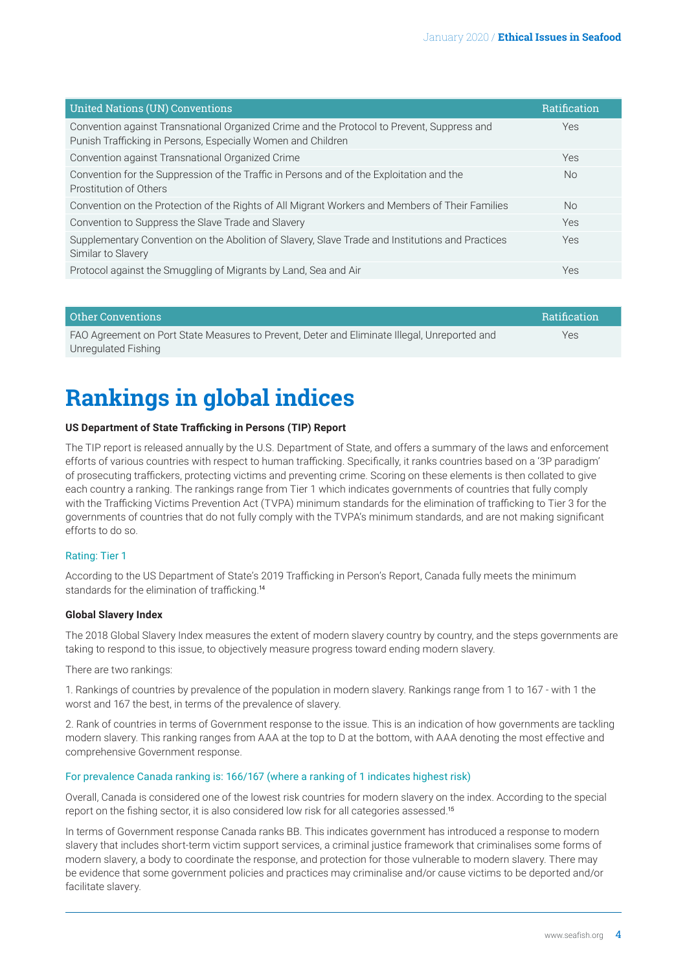<span id="page-3-0"></span>

| <b>United Nations (UN) Conventions</b>                                                                                                                     | <b>Ratification</b> |
|------------------------------------------------------------------------------------------------------------------------------------------------------------|---------------------|
| Convention against Transnational Organized Crime and the Protocol to Prevent, Suppress and<br>Punish Trafficking in Persons, Especially Women and Children | <b>Yes</b>          |
| Convention against Transnational Organized Crime                                                                                                           | <b>Yes</b>          |
| Convention for the Suppression of the Traffic in Persons and of the Exploitation and the<br>Prostitution of Others                                         | N <sub>o</sub>      |
| Convention on the Protection of the Rights of All Migrant Workers and Members of Their Families                                                            | N <sub>o</sub>      |
| Convention to Suppress the Slave Trade and Slavery                                                                                                         | Yes                 |
| Supplementary Convention on the Abolition of Slavery, Slave Trade and Institutions and Practices<br>Similar to Slavery                                     | Yes                 |
| Protocol against the Smuggling of Migrants by Land, Sea and Air                                                                                            | Yes                 |

| Other Conventions                                                                            | Ratification |
|----------------------------------------------------------------------------------------------|--------------|
| FAO Agreement on Port State Measures to Prevent, Deter and Eliminate Illegal, Unreported and | Yes          |
| Unregulated Fishing                                                                          |              |

### **Rankings in global indices**

#### **US Department of State Trafficking in Persons (TIP) Report**

The TIP report is released annually by the U.S. Department of State, and offers a summary of the laws and enforcement efforts of various countries with respect to human trafficking. Specifically, it ranks countries based on a '3P paradigm' of prosecuting traffickers, protecting victims and preventing crime. Scoring on these elements is then collated to give each country a ranking. The rankings range from Tier 1 which indicates governments of countries that fully comply with the Trafficking Victims Prevention Act (TVPA) minimum standards for the elimination of trafficking to Tier 3 for the governments of countries that do not fully comply with the TVPA's minimum standards, and are not making significant efforts to do so.

#### Rating: Tier 1

According to the US Department of State's 2019 Trafficking in Person's Report, Canada fully meets the minimum standards for the elimination of trafficking.[14](#page-4-0)

#### **Global Slavery Index**

The 2018 Global Slavery Index measures the extent of modern slavery country by country, and the steps governments are taking to respond to this issue, to objectively measure progress toward ending modern slavery.

There are two rankings:

1. Rankings of countries by prevalence of the population in modern slavery. Rankings range from 1 to 167 - with 1 the worst and 167 the best, in terms of the prevalence of slavery.

2. Rank of countries in terms of Government response to the issue. This is an indication of how governments are tackling modern slavery. This ranking ranges from AAA at the top to D at the bottom, with AAA denoting the most effective and comprehensive Government response.

#### For prevalence Canada ranking is: 166/167 (where a ranking of 1 indicates highest risk)

Overall, Canada is considered one of the lowest risk countries for modern slavery on the index. According to the special report on the fishing sector, it is also considered low risk for all categories assessed.[15](#page-4-0)

In terms of Government response Canada ranks BB. This indicates government has introduced a response to modern slavery that includes short-term victim support services, a criminal justice framework that criminalises some forms of modern slavery, a body to coordinate the response, and protection for those vulnerable to modern slavery. There may be evidence that some government policies and practices may criminalise and/or cause victims to be deported and/or facilitate slavery.